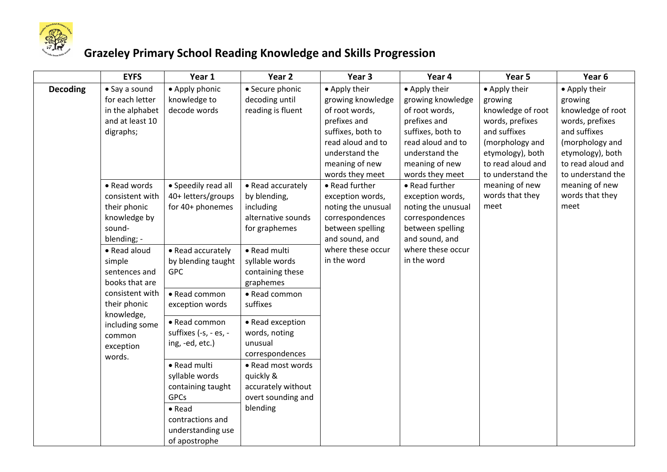

## **Grazeley Primary School Reading Knowledge and Skills Progression**

|                                                                                                                                | <b>EYFS</b>                                                            | Year 1                                                                                                                                         | Year <sub>2</sub>                                                                                     | Year <sub>3</sub>                                                                                                                                                     | Year 4                                                                                                                                                                | Year 5                                                                                                                                                            | Year 6                                                                                                                                                            |
|--------------------------------------------------------------------------------------------------------------------------------|------------------------------------------------------------------------|------------------------------------------------------------------------------------------------------------------------------------------------|-------------------------------------------------------------------------------------------------------|-----------------------------------------------------------------------------------------------------------------------------------------------------------------------|-----------------------------------------------------------------------------------------------------------------------------------------------------------------------|-------------------------------------------------------------------------------------------------------------------------------------------------------------------|-------------------------------------------------------------------------------------------------------------------------------------------------------------------|
| <b>Decoding</b><br>digraphs;<br>sound-<br>blending; -<br>• Read aloud<br>simple<br>knowledge,<br>common<br>exception<br>words. | • Say a sound<br>for each letter<br>in the alphabet<br>and at least 10 | • Apply phonic<br>knowledge to<br>decode words                                                                                                 | • Secure phonic<br>decoding until<br>reading is fluent                                                | • Apply their<br>growing knowledge<br>of root words,<br>prefixes and<br>suffixes, both to<br>read aloud and to<br>understand the<br>meaning of new<br>words they meet | • Apply their<br>growing knowledge<br>of root words,<br>prefixes and<br>suffixes, both to<br>read aloud and to<br>understand the<br>meaning of new<br>words they meet | • Apply their<br>growing<br>knowledge of root<br>words, prefixes<br>and suffixes<br>(morphology and<br>etymology), both<br>to read aloud and<br>to understand the | • Apply their<br>growing<br>knowledge of root<br>words, prefixes<br>and suffixes<br>(morphology and<br>etymology), both<br>to read aloud and<br>to understand the |
|                                                                                                                                | • Read words<br>consistent with<br>their phonic<br>knowledge by        | • Speedily read all<br>40+ letters/groups<br>for 40+ phonemes<br>• Read accurately                                                             | • Read accurately<br>by blending,<br>including<br>alternative sounds<br>for graphemes<br>• Read multi | • Read further<br>exception words,<br>noting the unusual<br>correspondences<br>between spelling<br>and sound, and<br>where these occur<br>in the word                 | • Read further<br>exception words,<br>noting the unusual<br>correspondences<br>between spelling<br>and sound, and<br>where these occur<br>in the word                 | meaning of new<br>words that they<br>meet                                                                                                                         | meaning of new<br>words that they<br>meet                                                                                                                         |
|                                                                                                                                | sentences and<br>books that are<br>consistent with<br>their phonic     | by blending taught<br><b>GPC</b><br>• Read common<br>exception words                                                                           | syllable words<br>containing these<br>graphemes<br>• Read common<br>suffixes                          |                                                                                                                                                                       |                                                                                                                                                                       |                                                                                                                                                                   |                                                                                                                                                                   |
|                                                                                                                                | including some                                                         | • Read common<br>suffixes (-s, - es, -<br>ing, -ed, etc.)                                                                                      | • Read exception<br>words, noting<br>unusual<br>correspondences                                       |                                                                                                                                                                       |                                                                                                                                                                       |                                                                                                                                                                   |                                                                                                                                                                   |
|                                                                                                                                |                                                                        | • Read multi<br>syllable words<br>containing taught<br><b>GPCs</b><br>$\bullet$ Read<br>contractions and<br>understanding use<br>of apostrophe | • Read most words<br>quickly &<br>accurately without<br>overt sounding and<br>blending                |                                                                                                                                                                       |                                                                                                                                                                       |                                                                                                                                                                   |                                                                                                                                                                   |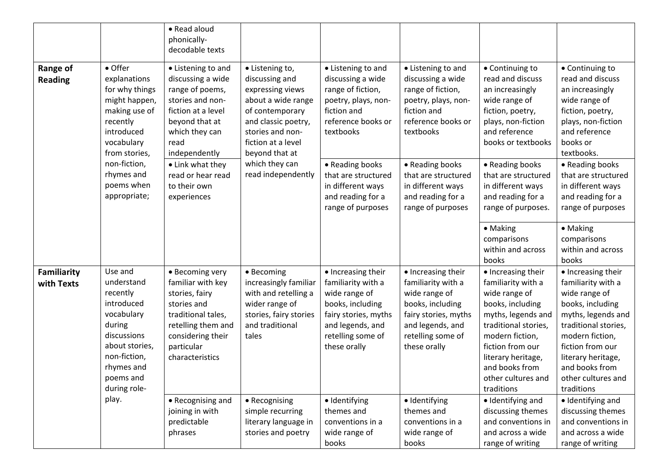|                            |                                                                                                                                                                     | • Read aloud<br>phonically-<br>decodable texts                                                                                                                          |                                                                                                                                                                                   |                                                                                                                                                                |                                                                                                                                                                |                                                                                                                                                                                                                                                |                                                                                                                                                                                                                                                |
|----------------------------|---------------------------------------------------------------------------------------------------------------------------------------------------------------------|-------------------------------------------------------------------------------------------------------------------------------------------------------------------------|-----------------------------------------------------------------------------------------------------------------------------------------------------------------------------------|----------------------------------------------------------------------------------------------------------------------------------------------------------------|----------------------------------------------------------------------------------------------------------------------------------------------------------------|------------------------------------------------------------------------------------------------------------------------------------------------------------------------------------------------------------------------------------------------|------------------------------------------------------------------------------------------------------------------------------------------------------------------------------------------------------------------------------------------------|
| Range of<br><b>Reading</b> | • Offer<br>explanations<br>for why things<br>might happen,<br>making use of<br>recently<br>introduced<br>vocabulary<br>from stories,                                | • Listening to and<br>discussing a wide<br>range of poems,<br>stories and non-<br>fiction at a level<br>beyond that at<br>which they can<br>read<br>independently       | • Listening to,<br>discussing and<br>expressing views<br>about a wide range<br>of contemporary<br>and classic poetry,<br>stories and non-<br>fiction at a level<br>beyond that at | • Listening to and<br>discussing a wide<br>range of fiction,<br>poetry, plays, non-<br>fiction and<br>reference books or<br>textbooks                          | • Listening to and<br>discussing a wide<br>range of fiction,<br>poetry, plays, non-<br>fiction and<br>reference books or<br>textbooks                          | • Continuing to<br>read and discuss<br>an increasingly<br>wide range of<br>fiction, poetry,<br>plays, non-fiction<br>and reference<br>books or textbooks                                                                                       | • Continuing to<br>read and discuss<br>an increasingly<br>wide range of<br>fiction, poetry,<br>plays, non-fiction<br>and reference<br>books or<br>textbooks.                                                                                   |
|                            | non-fiction,<br>rhymes and<br>poems when<br>appropriate;                                                                                                            | • Link what they<br>read or hear read<br>to their own<br>experiences                                                                                                    | which they can<br>read independently                                                                                                                                              | • Reading books<br>that are structured<br>in different ways<br>and reading for a<br>range of purposes                                                          | • Reading books<br>that are structured<br>in different ways<br>and reading for a<br>range of purposes                                                          | • Reading books<br>that are structured<br>in different ways<br>and reading for a<br>range of purposes.                                                                                                                                         | • Reading books<br>that are structured<br>in different ways<br>and reading for a<br>range of purposes                                                                                                                                          |
|                            |                                                                                                                                                                     |                                                                                                                                                                         |                                                                                                                                                                                   |                                                                                                                                                                |                                                                                                                                                                | • Making<br>comparisons<br>within and across<br>books                                                                                                                                                                                          | • Making<br>comparisons<br>within and across<br>books                                                                                                                                                                                          |
| Familiarity<br>with Texts  | Use and<br>understand<br>recently<br>introduced<br>vocabulary<br>during<br>discussions<br>about stories,<br>non-fiction,<br>rhymes and<br>poems and<br>during role- | • Becoming very<br>familiar with key<br>stories, fairy<br>stories and<br>traditional tales,<br>retelling them and<br>considering their<br>particular<br>characteristics | • Becoming<br>increasingly familiar<br>with and retelling a<br>wider range of<br>stories, fairy stories<br>and traditional<br>tales                                               | • Increasing their<br>familiarity with a<br>wide range of<br>books, including<br>fairy stories, myths<br>and legends, and<br>retelling some of<br>these orally | • Increasing their<br>familiarity with a<br>wide range of<br>books, including<br>fairy stories, myths<br>and legends, and<br>retelling some of<br>these orally | • Increasing their<br>familiarity with a<br>wide range of<br>books, including<br>myths, legends and<br>traditional stories,<br>modern fiction,<br>fiction from our<br>literary heritage,<br>and books from<br>other cultures and<br>traditions | • Increasing their<br>familiarity with a<br>wide range of<br>books, including<br>myths, legends and<br>traditional stories,<br>modern fiction,<br>fiction from our<br>literary heritage,<br>and books from<br>other cultures and<br>traditions |
|                            | play.                                                                                                                                                               | • Recognising and<br>joining in with<br>predictable<br>phrases                                                                                                          | • Recognising<br>simple recurring<br>literary language in<br>stories and poetry                                                                                                   | · Identifying<br>themes and<br>conventions in a<br>wide range of<br>books                                                                                      | · Identifying<br>themes and<br>conventions in a<br>wide range of<br>books                                                                                      | · Identifying and<br>discussing themes<br>and conventions in<br>and across a wide<br>range of writing                                                                                                                                          | · Identifying and<br>discussing themes<br>and conventions in<br>and across a wide<br>range of writing                                                                                                                                          |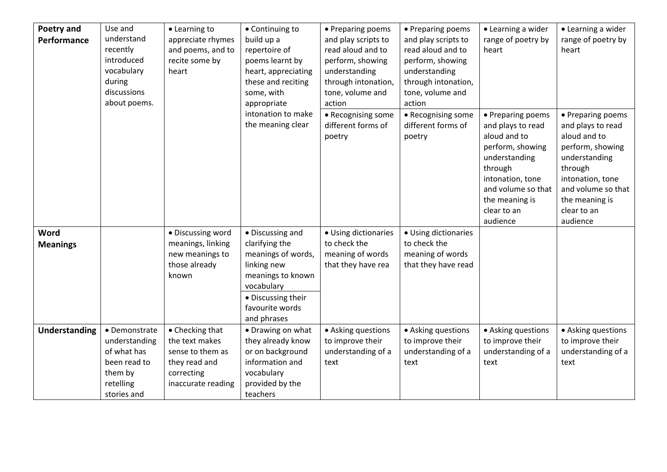| Poetry and<br>Performance      | Use and<br>understand<br>recently<br>introduced<br>vocabulary<br>during<br>discussions<br>about poems. | • Learning to<br>appreciate rhymes<br>and poems, and to<br>recite some by<br>heart                         | • Continuing to<br>build up a<br>repertoire of<br>poems learnt by<br>heart, appreciating<br>these and reciting<br>some, with<br>appropriate                        | • Preparing poems<br>and play scripts to<br>read aloud and to<br>perform, showing<br>understanding<br>through intonation,<br>tone, volume and<br>action | • Preparing poems<br>and play scripts to<br>read aloud and to<br>perform, showing<br>understanding<br>through intonation,<br>tone, volume and<br>action | • Learning a wider<br>range of poetry by<br>heart                                                                                                                                             | • Learning a wider<br>range of poetry by<br>heart                                                                                                                                             |
|--------------------------------|--------------------------------------------------------------------------------------------------------|------------------------------------------------------------------------------------------------------------|--------------------------------------------------------------------------------------------------------------------------------------------------------------------|---------------------------------------------------------------------------------------------------------------------------------------------------------|---------------------------------------------------------------------------------------------------------------------------------------------------------|-----------------------------------------------------------------------------------------------------------------------------------------------------------------------------------------------|-----------------------------------------------------------------------------------------------------------------------------------------------------------------------------------------------|
|                                |                                                                                                        |                                                                                                            | intonation to make<br>the meaning clear                                                                                                                            | • Recognising some<br>different forms of<br>poetry                                                                                                      | • Recognising some<br>different forms of<br>poetry                                                                                                      | • Preparing poems<br>and plays to read<br>aloud and to<br>perform, showing<br>understanding<br>through<br>intonation, tone<br>and volume so that<br>the meaning is<br>clear to an<br>audience | • Preparing poems<br>and plays to read<br>aloud and to<br>perform, showing<br>understanding<br>through<br>intonation, tone<br>and volume so that<br>the meaning is<br>clear to an<br>audience |
| <b>Word</b><br><b>Meanings</b> |                                                                                                        | · Discussing word<br>meanings, linking<br>new meanings to<br>those already<br>known                        | • Discussing and<br>clarifying the<br>meanings of words,<br>linking new<br>meanings to known<br>vocabulary<br>• Discussing their<br>favourite words<br>and phrases | • Using dictionaries<br>to check the<br>meaning of words<br>that they have rea                                                                          | • Using dictionaries<br>to check the<br>meaning of words<br>that they have read                                                                         |                                                                                                                                                                                               |                                                                                                                                                                                               |
| <b>Understanding</b>           | • Demonstrate<br>understanding<br>of what has<br>been read to<br>them by<br>retelling<br>stories and   | • Checking that<br>the text makes<br>sense to them as<br>they read and<br>correcting<br>inaccurate reading | • Drawing on what<br>they already know<br>or on background<br>information and<br>vocabulary<br>provided by the<br>teachers                                         | • Asking questions<br>to improve their<br>understanding of a<br>text                                                                                    | • Asking questions<br>to improve their<br>understanding of a<br>text                                                                                    | • Asking questions<br>to improve their<br>understanding of a<br>text                                                                                                                          | • Asking questions<br>to improve their<br>understanding of a<br>text                                                                                                                          |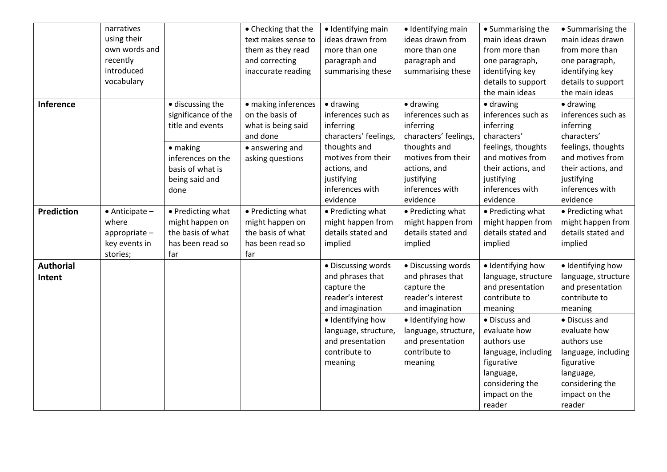|                            | narratives<br>using their<br>own words and<br>recently<br>introduced<br>vocabulary |                                                                                      | • Checking that the<br>text makes sense to<br>them as they read<br>and correcting<br>inaccurate reading | · Identifying main<br>ideas drawn from<br>more than one<br>paragraph and<br>summarising these                                              | · Identifying main<br>ideas drawn from<br>more than one<br>paragraph and<br>summarising these                                              | • Summarising the<br>main ideas drawn<br>from more than<br>one paragraph,<br>identifying key<br>details to support<br>the main ideas | • Summarising the<br>main ideas drawn<br>from more than<br>one paragraph,<br>identifying key<br>details to support<br>the main ideas |
|----------------------------|------------------------------------------------------------------------------------|--------------------------------------------------------------------------------------|---------------------------------------------------------------------------------------------------------|--------------------------------------------------------------------------------------------------------------------------------------------|--------------------------------------------------------------------------------------------------------------------------------------------|--------------------------------------------------------------------------------------------------------------------------------------|--------------------------------------------------------------------------------------------------------------------------------------|
| Inference                  |                                                                                    | · discussing the<br>significance of the<br>title and events<br>$\bullet$ making      | · making inferences<br>on the basis of<br>what is being said<br>and done<br>• answering and             | · drawing<br>inferences such as<br>inferring<br>characters' feelings,<br>thoughts and                                                      | $\bullet$ drawing<br>inferences such as<br>inferring<br>characters' feelings,<br>thoughts and                                              | $\bullet$ drawing<br>inferences such as<br>inferring<br>characters'<br>feelings, thoughts                                            | $\bullet$ drawing<br>inferences such as<br>inferring<br>characters'<br>feelings, thoughts                                            |
|                            |                                                                                    | inferences on the<br>basis of what is<br>being said and<br>done                      | asking questions                                                                                        | motives from their<br>actions, and<br>justifying<br>inferences with<br>evidence                                                            | motives from their<br>actions, and<br>justifying<br>inferences with<br>evidence                                                            | and motives from<br>their actions, and<br>justifying<br>inferences with<br>evidence                                                  | and motives from<br>their actions, and<br>justifying<br>inferences with<br>evidence                                                  |
| Prediction                 | $\bullet$ Anticipate -<br>where<br>appropriate-<br>key events in<br>stories;       | • Predicting what<br>might happen on<br>the basis of what<br>has been read so<br>far | • Predicting what<br>might happen on<br>the basis of what<br>has been read so<br>far                    | • Predicting what<br>might happen from<br>details stated and<br>implied                                                                    | • Predicting what<br>might happen from<br>details stated and<br>implied                                                                    | • Predicting what<br>might happen from<br>details stated and<br>implied                                                              | • Predicting what<br>might happen from<br>details stated and<br>implied                                                              |
| <b>Authorial</b><br>Intent |                                                                                    |                                                                                      |                                                                                                         | • Discussing words<br>and phrases that<br>capture the<br>reader's interest<br>and imagination<br>· Identifying how<br>language, structure, | · Discussing words<br>and phrases that<br>capture the<br>reader's interest<br>and imagination<br>· Identifying how<br>language, structure, | · Identifying how<br>language, structure<br>and presentation<br>contribute to<br>meaning<br>• Discuss and<br>evaluate how            | · Identifying how<br>language, structure<br>and presentation<br>contribute to<br>meaning<br>• Discuss and<br>evaluate how            |
|                            |                                                                                    |                                                                                      |                                                                                                         | and presentation<br>contribute to<br>meaning                                                                                               | and presentation<br>contribute to<br>meaning                                                                                               | authors use<br>language, including<br>figurative<br>language,<br>considering the<br>impact on the<br>reader                          | authors use<br>language, including<br>figurative<br>language,<br>considering the<br>impact on the<br>reader                          |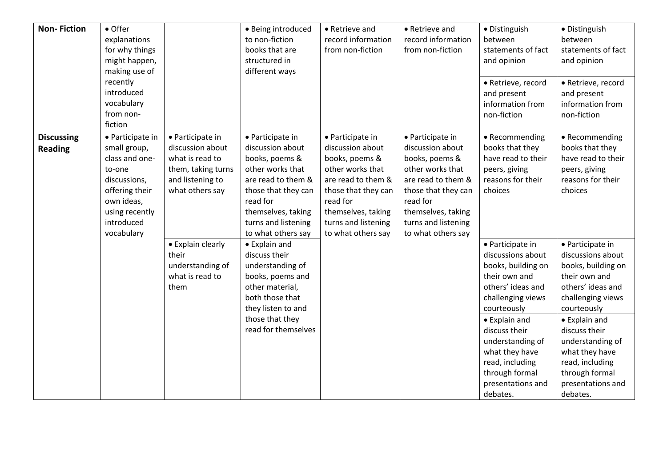| <b>Non-Fiction</b>                  | • Offer<br>explanations<br>for why things<br>might happen,<br>making use of<br>recently<br>introduced<br>vocabulary<br>from non-<br>fiction                |                                                                                                                      | · Being introduced<br>to non-fiction<br>books that are<br>structured in<br>different ways                                                                                                              | • Retrieve and<br>record information<br>from non-fiction                                                                                                                                               | • Retrieve and<br>record information<br>from non-fiction                                                                                                                                               | · Distinguish<br>between<br>statements of fact<br>and opinion<br>· Retrieve, record<br>and present<br>information from<br>non-fiction                                                                         | · Distinguish<br>between<br>statements of fact<br>and opinion<br>· Retrieve, record<br>and present<br>information from<br>non-fiction                                                                         |
|-------------------------------------|------------------------------------------------------------------------------------------------------------------------------------------------------------|----------------------------------------------------------------------------------------------------------------------|--------------------------------------------------------------------------------------------------------------------------------------------------------------------------------------------------------|--------------------------------------------------------------------------------------------------------------------------------------------------------------------------------------------------------|--------------------------------------------------------------------------------------------------------------------------------------------------------------------------------------------------------|---------------------------------------------------------------------------------------------------------------------------------------------------------------------------------------------------------------|---------------------------------------------------------------------------------------------------------------------------------------------------------------------------------------------------------------|
| <b>Discussing</b><br><b>Reading</b> | • Participate in<br>small group,<br>class and one-<br>to-one<br>discussions,<br>offering their<br>own ideas,<br>using recently<br>introduced<br>vocabulary | • Participate in<br>discussion about<br>what is read to<br>them, taking turns<br>and listening to<br>what others say | • Participate in<br>discussion about<br>books, poems &<br>other works that<br>are read to them &<br>those that they can<br>read for<br>themselves, taking<br>turns and listening<br>to what others say | • Participate in<br>discussion about<br>books, poems &<br>other works that<br>are read to them &<br>those that they can<br>read for<br>themselves, taking<br>turns and listening<br>to what others say | • Participate in<br>discussion about<br>books, poems &<br>other works that<br>are read to them &<br>those that they can<br>read for<br>themselves, taking<br>turns and listening<br>to what others say | • Recommending<br>books that they<br>have read to their<br>peers, giving<br>reasons for their<br>choices                                                                                                      | • Recommending<br>books that they<br>have read to their<br>peers, giving<br>reasons for their<br>choices                                                                                                      |
|                                     |                                                                                                                                                            | • Explain clearly<br>their<br>understanding of<br>what is read to<br>them                                            | • Explain and<br>discuss their<br>understanding of<br>books, poems and<br>other material,<br>both those that<br>they listen to and<br>those that they<br>read for themselves                           |                                                                                                                                                                                                        |                                                                                                                                                                                                        | • Participate in<br>discussions about<br>books, building on<br>their own and<br>others' ideas and<br>challenging views<br>courteously<br>• Explain and<br>discuss their<br>understanding of<br>what they have | • Participate in<br>discussions about<br>books, building on<br>their own and<br>others' ideas and<br>challenging views<br>courteously<br>• Explain and<br>discuss their<br>understanding of<br>what they have |
|                                     |                                                                                                                                                            |                                                                                                                      |                                                                                                                                                                                                        |                                                                                                                                                                                                        |                                                                                                                                                                                                        | read, including<br>through formal<br>presentations and<br>debates.                                                                                                                                            | read, including<br>through formal<br>presentations and<br>debates.                                                                                                                                            |